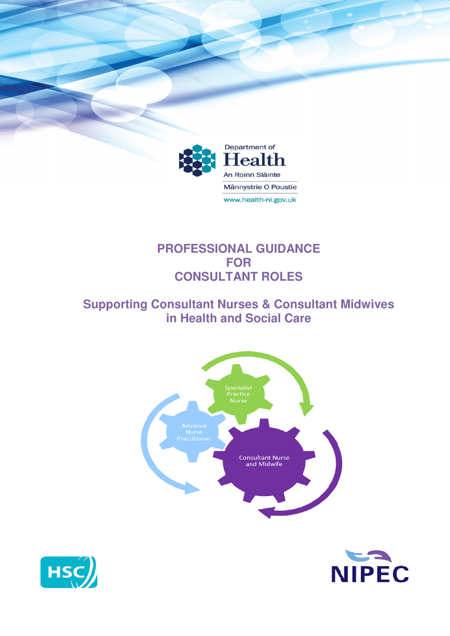

# **PROFESSIONAL GUIDANCE FOR CONSULTANT ROLES**

# **Supporting Consultant Nurses & Consultant Midwives in Health and Social Care**





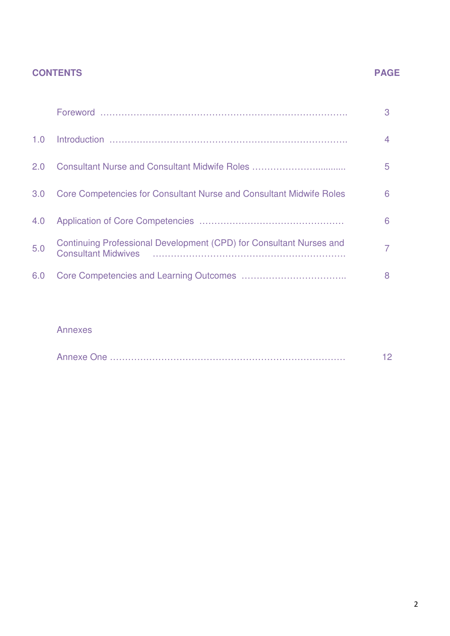## **CONTENTS PAGE**

|     |                                                                                                                                                                                                                                                                                                                                    | 3 |
|-----|------------------------------------------------------------------------------------------------------------------------------------------------------------------------------------------------------------------------------------------------------------------------------------------------------------------------------------|---|
| 1.0 |                                                                                                                                                                                                                                                                                                                                    | 4 |
| 2.0 | Consultant Nurse and Consultant Midwife Roles                                                                                                                                                                                                                                                                                      | 5 |
| 3.0 | <b>Core Competencies for Consultant Nurse and Consultant Midwife Roles</b>                                                                                                                                                                                                                                                         | 6 |
| 4.0 |                                                                                                                                                                                                                                                                                                                                    | 6 |
| 5.0 | Continuing Professional Development (CPD) for Consultant Nurses and<br><b>Consultant Midwives</b><br>and a construction of the construction of the construction of the construction of the construction of the construction of the construction of the construction of the construction of the construction of the construction of | 7 |
| 6.0 |                                                                                                                                                                                                                                                                                                                                    | 8 |

### Annexes

|--|--|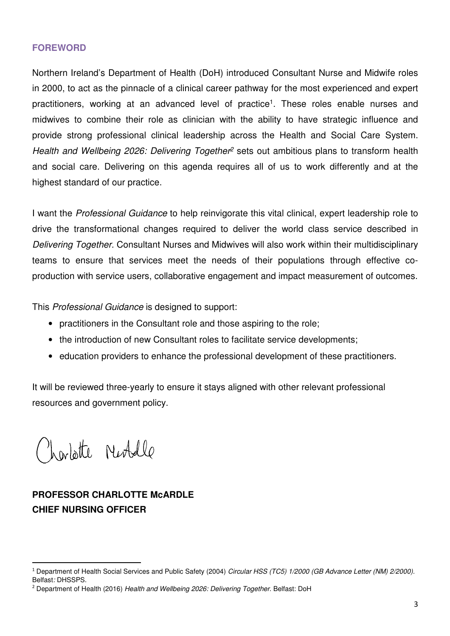#### **FOREWORD**

Northern Ireland's Department of Health (DoH) introduced Consultant Nurse and Midwife roles in 2000, to act as the pinnacle of a clinical career pathway for the most experienced and expert practitioners, working at an advanced level of practice<sup>1</sup>. These roles enable nurses and midwives to combine their role as clinician with the ability to have strategic influence and provide strong professional clinical leadership across the Health and Social Care System. Health and Wellbeing 2026: Delivering Together<sup>2</sup> sets out ambitious plans to transform health and social care. Delivering on this agenda requires all of us to work differently and at the highest standard of our practice.

I want the Professional Guidance to help reinvigorate this vital clinical, expert leadership role to drive the transformational changes required to deliver the world class service described in Delivering Together. Consultant Nurses and Midwives will also work within their multidisciplinary teams to ensure that services meet the needs of their populations through effective coproduction with service users, collaborative engagement and impact measurement of outcomes.

This Professional Guidance is designed to support:

- practitioners in the Consultant role and those aspiring to the role;
- the introduction of new Consultant roles to facilitate service developments;
- education providers to enhance the professional development of these practitioners.

It will be reviewed three-yearly to ensure it stays aligned with other relevant professional resources and government policy.

Nortotte Neobelle

l

# **PROFESSOR CHARLOTTE McARDLE CHIEF NURSING OFFICER**

<sup>&</sup>lt;sup>1</sup> Department of Health Social Services and Public Safety (2004) Circular HSS (TC5) 1/2000 (GB Advance Letter (NM) 2/2000). Belfast: DHSSPS.

<sup>&</sup>lt;sup>2</sup> Department of Health (2016) Health and Wellbeing 2026: Delivering Together. Belfast: DoH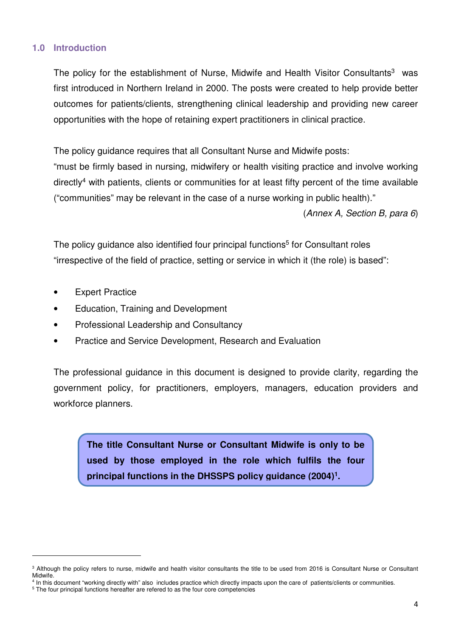#### **1.0 Introduction**

The policy for the establishment of Nurse, Midwife and Health Visitor Consultants<sup>3</sup> was first introduced in Northern Ireland in 2000. The posts were created to help provide better outcomes for patients/clients, strengthening clinical leadership and providing new career opportunities with the hope of retaining expert practitioners in clinical practice.

The policy guidance requires that all Consultant Nurse and Midwife posts:

"must be firmly based in nursing, midwifery or health visiting practice and involve working directly<sup>4</sup> with patients, clients or communities for at least fifty percent of the time available ("communities" may be relevant in the case of a nurse working in public health)."

(Annex A, Section B, para 6)

The policy guidance also identified four principal functions<sup>5</sup> for Consultant roles "irrespective of the field of practice, setting or service in which it (the role) is based":

• Expert Practice

l

- Education, Training and Development
- Professional Leadership and Consultancy
- Practice and Service Development, Research and Evaluation

The professional guidance in this document is designed to provide clarity, regarding the government policy, for practitioners, employers, managers, education providers and workforce planners.

**The title Consultant Nurse or Consultant Midwife is only to be used by those employed in the role which fulfils the four principal functions in the DHSSPS policy guidance (2004) 1 .**

<sup>&</sup>lt;sup>3</sup> Although the policy refers to nurse, midwife and health visitor consultants the title to be used from 2016 is Consultant Nurse or Consultant Midwife.

<sup>4</sup> In this document "working directly with" also includes practice which directly impacts upon the care of patients/clients or communities.

<sup>&</sup>lt;sup>5</sup> The four principal functions hereafter are refered to as the four core competencies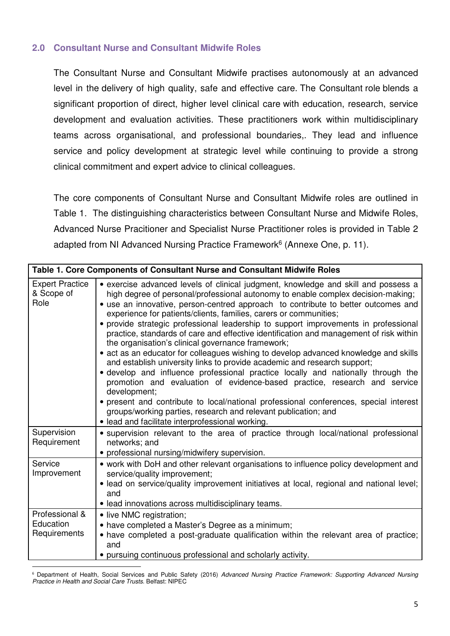#### **2.0 Consultant Nurse and Consultant Midwife Roles**

The Consultant Nurse and Consultant Midwife practises autonomously at an advanced level in the delivery of high quality, safe and effective care. The Consultant role blends a significant proportion of direct, higher level clinical care with education, research, service development and evaluation activities. These practitioners work within multidisciplinary teams across organisational, and professional boundaries,. They lead and influence service and policy development at strategic level while continuing to provide a strong clinical commitment and expert advice to clinical colleagues.

The core components of Consultant Nurse and Consultant Midwife roles are outlined in Table 1. The distinguishing characteristics between Consultant Nurse and Midwife Roles, Advanced Nurse Pracitioner and Specialist Nurse Practitioner roles is provided in Table 2 adapted from NI Advanced Nursing Practice Framework<sup>6</sup> (Annexe One, p. 11).

| Table 1. Core Components of Consultant Nurse and Consultant Midwife Roles |                                                                                                                                                                                                                                                                                                                                                                                                                                                                                                                                                                                                                                                                                                                                                                                                                                                                                                                                                                                                                                                                                                                                            |  |  |  |
|---------------------------------------------------------------------------|--------------------------------------------------------------------------------------------------------------------------------------------------------------------------------------------------------------------------------------------------------------------------------------------------------------------------------------------------------------------------------------------------------------------------------------------------------------------------------------------------------------------------------------------------------------------------------------------------------------------------------------------------------------------------------------------------------------------------------------------------------------------------------------------------------------------------------------------------------------------------------------------------------------------------------------------------------------------------------------------------------------------------------------------------------------------------------------------------------------------------------------------|--|--|--|
| <b>Expert Practice</b><br>& Scope of<br>Role                              | • exercise advanced levels of clinical judgment, knowledge and skill and possess a<br>high degree of personal/professional autonomy to enable complex decision-making;<br>• use an innovative, person-centred approach to contribute to better outcomes and<br>experience for patients/clients, families, carers or communities;<br>• provide strategic professional leadership to support improvements in professional<br>practice, standards of care and effective identification and management of risk within<br>the organisation's clinical governance framework;<br>• act as an educator for colleagues wishing to develop advanced knowledge and skills<br>and establish university links to provide academic and research support;<br>· develop and influence professional practice locally and nationally through the<br>promotion and evaluation of evidence-based practice, research and service<br>development;<br>• present and contribute to local/national professional conferences, special interest<br>groups/working parties, research and relevant publication; and<br>· lead and facilitate interprofessional working. |  |  |  |
| Supervision<br>Requirement                                                | • supervision relevant to the area of practice through local/national professional<br>networks; and<br>• professional nursing/midwifery supervision.                                                                                                                                                                                                                                                                                                                                                                                                                                                                                                                                                                                                                                                                                                                                                                                                                                                                                                                                                                                       |  |  |  |
| Service<br>Improvement                                                    | • work with DoH and other relevant organisations to influence policy development and<br>service/quality improvement;<br>• lead on service/quality improvement initiatives at local, regional and national level;<br>and<br>• lead innovations across multidisciplinary teams.                                                                                                                                                                                                                                                                                                                                                                                                                                                                                                                                                                                                                                                                                                                                                                                                                                                              |  |  |  |
| Professional &<br>Education<br>Requirements                               | • live NMC registration;<br>• have completed a Master's Degree as a minimum;<br>• have completed a post-graduate qualification within the relevant area of practice;<br>and<br>• pursuing continuous professional and scholarly activity.                                                                                                                                                                                                                                                                                                                                                                                                                                                                                                                                                                                                                                                                                                                                                                                                                                                                                                  |  |  |  |

<sup>6</sup> Department of Health, Social Services and Public Safety (2016) Advanced Nursing Practice Framework: Supporting Advanced Nursing Practice in Health and Social Care Trusts. Belfast: NIPEC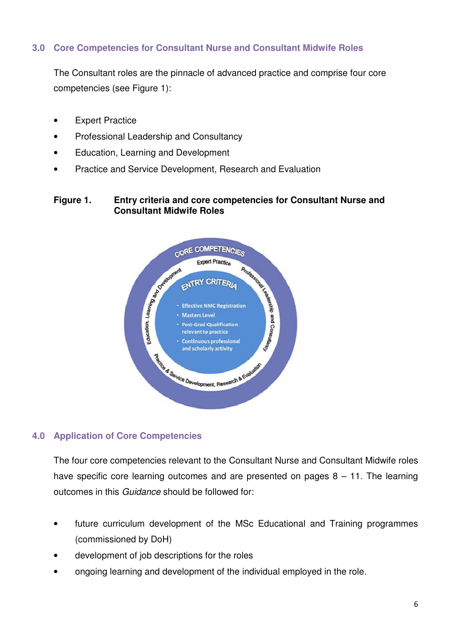#### **3.0 Core Competencies for Consultant Nurse and Consultant Midwife Roles**

The Consultant roles are the pinnacle of advanced practice and comprise four core competencies (see Figure 1):

- Expert Practice
- Professional Leadership and Consultancy
- Education, Learning and Development
- Practice and Service Development, Research and Evaluation

#### **Figure 1. Entry criteria and core competencies for Consultant Nurse and Consultant Midwife Roles**



#### **4.0 Application of Core Competencies**

The four core competencies relevant to the Consultant Nurse and Consultant Midwife roles have specific core learning outcomes and are presented on pages  $8 - 11$ . The learning outcomes in this Guidance should be followed for:

- future curriculum development of the MSc Educational and Training programmes (commissioned by DoH)
- development of job descriptions for the roles
- ongoing learning and development of the individual employed in the role.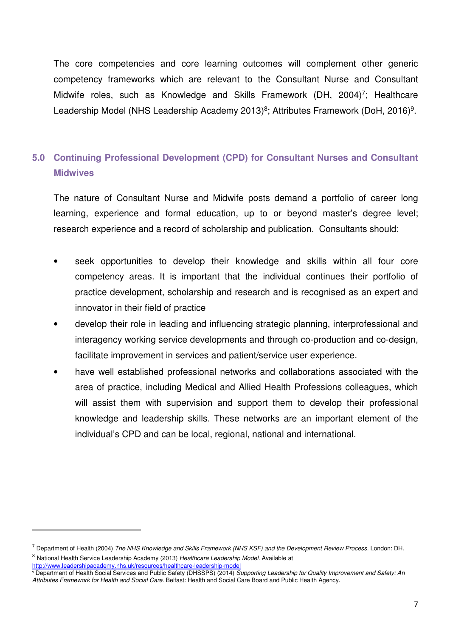The core competencies and core learning outcomes will complement other generic competency frameworks which are relevant to the Consultant Nurse and Consultant Midwife roles, such as Knowledge and Skills Framework (DH, 2004)<sup>7</sup>; Healthcare Leadership Model (NHS Leadership Academy 2013)<sup>8</sup>; Attributes Framework (DoH, 2016)<sup>9</sup>.

## **5.0 Continuing Professional Development (CPD) for Consultant Nurses and Consultant Midwives**

The nature of Consultant Nurse and Midwife posts demand a portfolio of career long learning, experience and formal education, up to or beyond master's degree level; research experience and a record of scholarship and publication. Consultants should:

- seek opportunities to develop their knowledge and skills within all four core competency areas. It is important that the individual continues their portfolio of practice development, scholarship and research and is recognised as an expert and innovator in their field of practice
- develop their role in leading and influencing strategic planning, interprofessional and interagency working service developments and through co-production and co-design, facilitate improvement in services and patient/service user experience.
- have well established professional networks and collaborations associated with the area of practice, including Medical and Allied Health Professions colleagues, which will assist them with supervision and support them to develop their professional knowledge and leadership skills. These networks are an important element of the individual's CPD and can be local, regional, national and international.

<sup>&</sup>lt;sup>7</sup> Department of Health (2004) The NHS Knowledge and Skills Framework (NHS KSF) and the Development Review Process. London: DH. <sup>8</sup> National Health Service Leadership Academy (2013) Healthcare Leadership Model. Available at

http://www.leadershipacademy.nhs.uk/resources/healthcare-leadership-model

<sup>9</sup> Department of Health Social Services and Public Safety (DHSSPS) (2014) Supporting Leadership for Quality Improvement and Safety: An Attributes Framework for Health and Social Care. Belfast: Health and Social Care Board and Public Health Agency.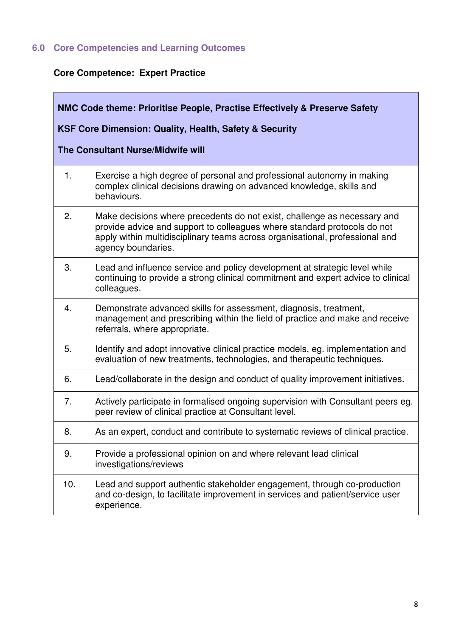# **6.0 Core Competencies and Learning Outcomes**

# **Core Competence: Expert Practice**

| NMC Code theme: Prioritise People, Practise Effectively & Preserve Safety |                                                                                                                                                                                                                                                            |  |  |  |  |
|---------------------------------------------------------------------------|------------------------------------------------------------------------------------------------------------------------------------------------------------------------------------------------------------------------------------------------------------|--|--|--|--|
| KSF Core Dimension: Quality, Health, Safety & Security                    |                                                                                                                                                                                                                                                            |  |  |  |  |
| <b>The Consultant Nurse/Midwife will</b>                                  |                                                                                                                                                                                                                                                            |  |  |  |  |
| 1.                                                                        | Exercise a high degree of personal and professional autonomy in making<br>complex clinical decisions drawing on advanced knowledge, skills and<br>behaviours.                                                                                              |  |  |  |  |
| 2.                                                                        | Make decisions where precedents do not exist, challenge as necessary and<br>provide advice and support to colleagues where standard protocols do not<br>apply within multidisciplinary teams across organisational, professional and<br>agency boundaries. |  |  |  |  |
| 3.                                                                        | Lead and influence service and policy development at strategic level while<br>continuing to provide a strong clinical commitment and expert advice to clinical<br>colleagues.                                                                              |  |  |  |  |
| 4.                                                                        | Demonstrate advanced skills for assessment, diagnosis, treatment,<br>management and prescribing within the field of practice and make and receive<br>referrals, where appropriate.                                                                         |  |  |  |  |
| 5.                                                                        | Identify and adopt innovative clinical practice models, eg. implementation and<br>evaluation of new treatments, technologies, and therapeutic techniques.                                                                                                  |  |  |  |  |
| 6.                                                                        | Lead/collaborate in the design and conduct of quality improvement initiatives.                                                                                                                                                                             |  |  |  |  |
| 7.                                                                        | Actively participate in formalised ongoing supervision with Consultant peers eg.<br>peer review of clinical practice at Consultant level.                                                                                                                  |  |  |  |  |
| 8.                                                                        | As an expert, conduct and contribute to systematic reviews of clinical practice.                                                                                                                                                                           |  |  |  |  |
| 9.                                                                        | Provide a professional opinion on and where relevant lead clinical<br>investigations/reviews                                                                                                                                                               |  |  |  |  |
| 10.                                                                       | Lead and support authentic stakeholder engagement, through co-production<br>and co-design, to facilitate improvement in services and patient/service user<br>experience.                                                                                   |  |  |  |  |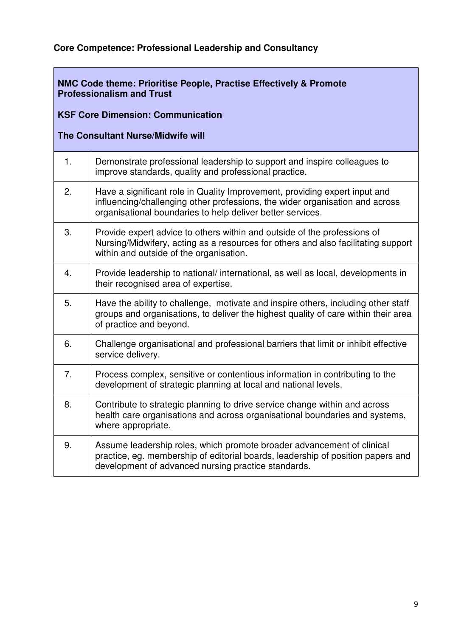## **Core Competence: Professional Leadership and Consultancy**

#### **NMC Code theme: Prioritise People, Practise Effectively & Promote Professionalism and Trust**

## **KSF Core Dimension: Communication**

#### **The Consultant Nurse/Midwife will**

| 1.             | Demonstrate professional leadership to support and inspire colleagues to<br>improve standards, quality and professional practice.                                                                                        |
|----------------|--------------------------------------------------------------------------------------------------------------------------------------------------------------------------------------------------------------------------|
| 2.             | Have a significant role in Quality Improvement, providing expert input and<br>influencing/challenging other professions, the wider organisation and across<br>organisational boundaries to help deliver better services. |
| 3.             | Provide expert advice to others within and outside of the professions of<br>Nursing/Midwifery, acting as a resources for others and also facilitating support<br>within and outside of the organisation.                 |
| 4.             | Provide leadership to national/international, as well as local, developments in<br>their recognised area of expertise.                                                                                                   |
| 5.             | Have the ability to challenge, motivate and inspire others, including other staff<br>groups and organisations, to deliver the highest quality of care within their area<br>of practice and beyond.                       |
| 6.             | Challenge organisational and professional barriers that limit or inhibit effective<br>service delivery.                                                                                                                  |
| 7 <sub>1</sub> | Process complex, sensitive or contentious information in contributing to the<br>development of strategic planning at local and national levels.                                                                          |
| 8.             | Contribute to strategic planning to drive service change within and across<br>health care organisations and across organisational boundaries and systems,<br>where appropriate.                                          |
| 9.             | Assume leadership roles, which promote broader advancement of clinical<br>practice, eg. membership of editorial boards, leadership of position papers and<br>development of advanced nursing practice standards.         |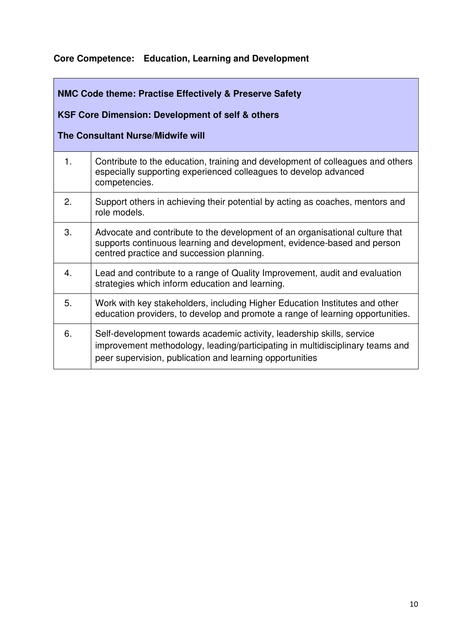### **Core Competence: Education, Learning and Development**

# **NMC Code theme: Practise Effectively & Preserve Safety KSF Core Dimension: Development of self & others The Consultant Nurse/Midwife will**  1. Contribute to the education, training and development of colleagues and others especially supporting experienced colleagues to develop advanced competencies. 2. Support others in achieving their potential by acting as coaches, mentors and role models. 3. Advocate and contribute to the development of an organisational culture that supports continuous learning and development, evidence-based and person centred practice and succession planning. 4. Lead and contribute to a range of Quality Improvement, audit and evaluation strategies which inform education and learning. 5. Work with key stakeholders, including Higher Education Institutes and other education providers, to develop and promote a range of learning opportunities. 6. Self-development towards academic activity, leadership skills, service improvement methodology, leading/participating in multidisciplinary teams and peer supervision, publication and learning opportunities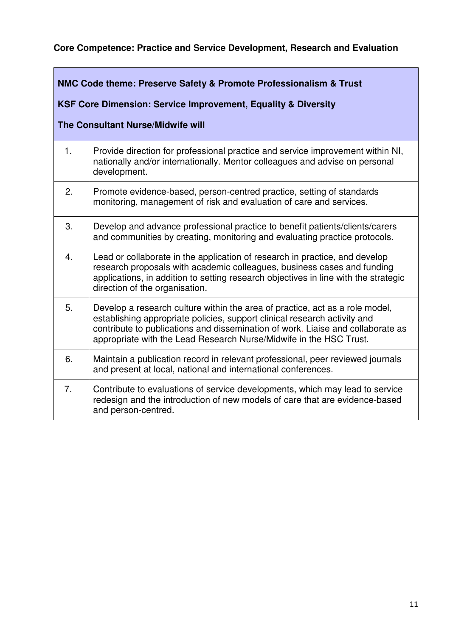## **Core Competence: Practice and Service Development, Research and Evaluation**

#### **NMC Code theme: Preserve Safety & Promote Professionalism & Trust**

## **KSF Core Dimension: Service Improvement, Equality & Diversity**

## **The Consultant Nurse/Midwife will**

| 1.               | Provide direction for professional practice and service improvement within NI,<br>nationally and/or internationally. Mentor colleagues and advise on personal<br>development.                                                                                                                                      |
|------------------|--------------------------------------------------------------------------------------------------------------------------------------------------------------------------------------------------------------------------------------------------------------------------------------------------------------------|
| 2.               | Promote evidence-based, person-centred practice, setting of standards<br>monitoring, management of risk and evaluation of care and services.                                                                                                                                                                       |
| 3.               | Develop and advance professional practice to benefit patients/clients/carers<br>and communities by creating, monitoring and evaluating practice protocols.                                                                                                                                                         |
| $\overline{4}$ . | Lead or collaborate in the application of research in practice, and develop<br>research proposals with academic colleagues, business cases and funding<br>applications, in addition to setting research objectives in line with the strategic<br>direction of the organisation.                                    |
| 5.               | Develop a research culture within the area of practice, act as a role model,<br>establishing appropriate policies, support clinical research activity and<br>contribute to publications and dissemination of work. Liaise and collaborate as<br>appropriate with the Lead Research Nurse/Midwife in the HSC Trust. |
| 6.               | Maintain a publication record in relevant professional, peer reviewed journals<br>and present at local, national and international conferences.                                                                                                                                                                    |
| 7.               | Contribute to evaluations of service developments, which may lead to service<br>redesign and the introduction of new models of care that are evidence-based<br>and person-centred.                                                                                                                                 |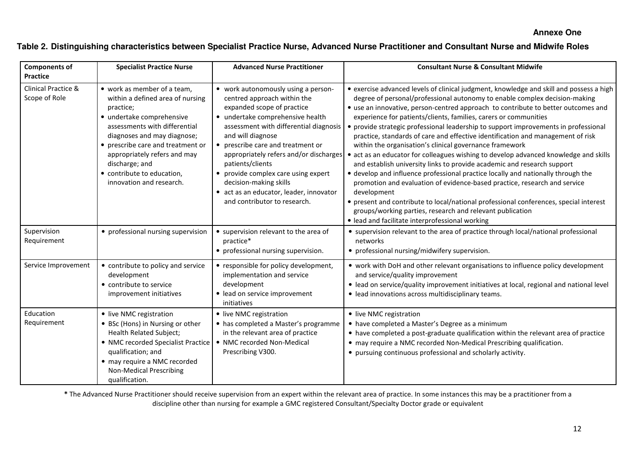#### **Annexe One**

#### **Table 2. Distinguishing characteristics between Specialist Practice Nurse, Advanced Nurse Practitioner and Consultant Nurse and Midwife Roles**

| <b>Components of</b><br><b>Practice</b>         | <b>Specialist Practice Nurse</b>                                                                                                                                                                                                                                                                                           | <b>Advanced Nurse Practitioner</b>                                                                                                                                                                                                                                                                                                                                                                                                                 | <b>Consultant Nurse &amp; Consultant Midwife</b>                                                                                                                                                                                                                                                                                                                                                                                                                                                                                                                                                                                                                                                                                                                                                                                                                                                                                                                                                                                                                                                                                |
|-------------------------------------------------|----------------------------------------------------------------------------------------------------------------------------------------------------------------------------------------------------------------------------------------------------------------------------------------------------------------------------|----------------------------------------------------------------------------------------------------------------------------------------------------------------------------------------------------------------------------------------------------------------------------------------------------------------------------------------------------------------------------------------------------------------------------------------------------|---------------------------------------------------------------------------------------------------------------------------------------------------------------------------------------------------------------------------------------------------------------------------------------------------------------------------------------------------------------------------------------------------------------------------------------------------------------------------------------------------------------------------------------------------------------------------------------------------------------------------------------------------------------------------------------------------------------------------------------------------------------------------------------------------------------------------------------------------------------------------------------------------------------------------------------------------------------------------------------------------------------------------------------------------------------------------------------------------------------------------------|
| <b>Clinical Practice &amp;</b><br>Scope of Role | • work as member of a team,<br>within a defined area of nursing<br>practice;<br>· undertake comprehensive<br>assessments with differential<br>diagnoses and may diagnose;<br>• prescribe care and treatment or<br>appropriately refers and may<br>discharge; and<br>• contribute to education,<br>innovation and research. | • work autonomously using a person-<br>centred approach within the<br>expanded scope of practice<br>• undertake comprehensive health<br>assessment with differential diagnosis<br>and will diagnose<br>• prescribe care and treatment or<br>appropriately refers and/or discharges<br>patients/clients<br>• provide complex care using expert<br>decision-making skills<br>• act as an educator, leader, innovator<br>and contributor to research. | • exercise advanced levels of clinical judgment, knowledge and skill and possess a high<br>degree of personal/professional autonomy to enable complex decision-making<br>• use an innovative, person-centred approach to contribute to better outcomes and<br>experience for patients/clients, families, carers or communities<br>• provide strategic professional leadership to support improvements in professional<br>practice, standards of care and effective identification and management of risk<br>within the organisation's clinical governance framework<br>• act as an educator for colleagues wishing to develop advanced knowledge and skills<br>and establish university links to provide academic and research support<br>• develop and influence professional practice locally and nationally through the<br>promotion and evaluation of evidence-based practice, research and service<br>development<br>• present and contribute to local/national professional conferences, special interest<br>groups/working parties, research and relevant publication<br>· lead and facilitate interprofessional working |
| Supervision<br>Requirement                      | • professional nursing supervision                                                                                                                                                                                                                                                                                         | • supervision relevant to the area of<br>practice*<br>• professional nursing supervision.                                                                                                                                                                                                                                                                                                                                                          | • supervision relevant to the area of practice through local/national professional<br>networks<br>• professional nursing/midwifery supervision.                                                                                                                                                                                                                                                                                                                                                                                                                                                                                                                                                                                                                                                                                                                                                                                                                                                                                                                                                                                 |
| Service Improvement                             | • contribute to policy and service<br>development<br>• contribute to service<br>improvement initiatives                                                                                                                                                                                                                    | • responsible for policy development,<br>implementation and service<br>development<br>· lead on service improvement<br>initiatives                                                                                                                                                                                                                                                                                                                 | • work with DoH and other relevant organisations to influence policy development<br>and service/quality improvement<br>• lead on service/quality improvement initiatives at local, regional and national level<br>• lead innovations across multidisciplinary teams.                                                                                                                                                                                                                                                                                                                                                                                                                                                                                                                                                                                                                                                                                                                                                                                                                                                            |
| Education<br>Requirement                        | • live NMC registration<br>• BSc (Hons) in Nursing or other<br>Health Related Subject;<br>• NMC recorded Specialist Practice<br>qualification; and<br>• may require a NMC recorded<br><b>Non-Medical Prescribing</b><br>qualification.                                                                                     | • live NMC registration<br>• has completed a Master's programme<br>in the relevant area of practice<br>• NMC recorded Non-Medical<br>Prescribing V300.                                                                                                                                                                                                                                                                                             | • live NMC registration<br>• have completed a Master's Degree as a minimum<br>• have completed a post-graduate qualification within the relevant area of practice<br>• may require a NMC recorded Non-Medical Prescribing qualification.<br>• pursuing continuous professional and scholarly activity.                                                                                                                                                                                                                                                                                                                                                                                                                                                                                                                                                                                                                                                                                                                                                                                                                          |

\* The Advanced Nurse Practitioner should receive supervision from an expert within the relevant area of practice. In some instances this may be a practitioner from a discipline other than nursing for example a GMC registered Consultant/Specialty Doctor grade or equivalent